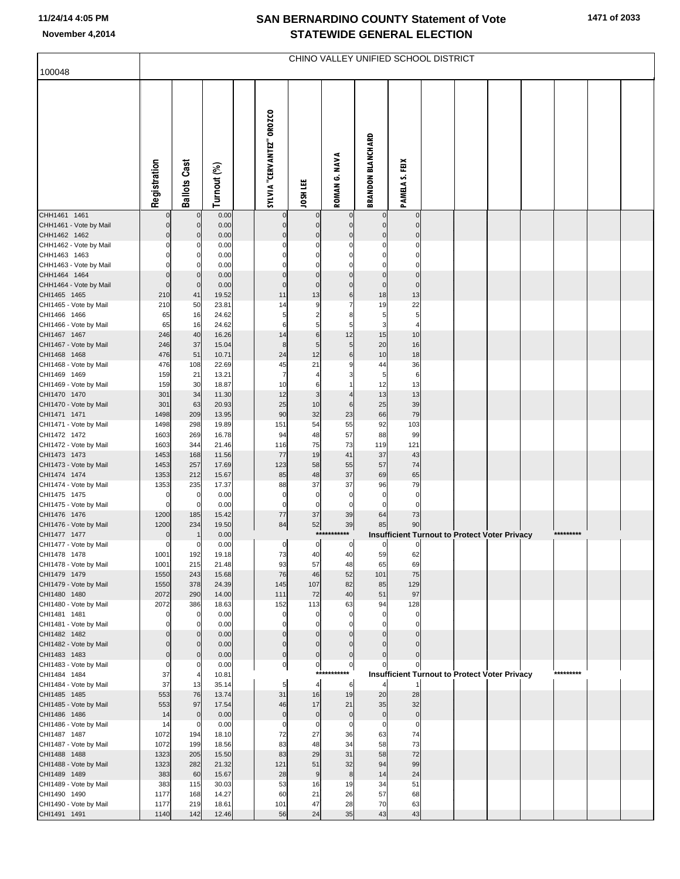### **SAN BERNARDINO COUNTY Statement of Vote November 4,2014 STATEWIDE GENERAL ELECTION**

|                                        | CHINO VALLEY UNIFIED SCHOOL DISTRICT |                             |                |  |                           |                            |                           |                            |                                                              |  |  |  |  |           |  |
|----------------------------------------|--------------------------------------|-----------------------------|----------------|--|---------------------------|----------------------------|---------------------------|----------------------------|--------------------------------------------------------------|--|--|--|--|-----------|--|
| 100048                                 |                                      |                             |                |  |                           |                            |                           |                            |                                                              |  |  |  |  |           |  |
|                                        | Registration                         | <b>Ballots Cast</b>         | Turnout (%)    |  | SYLVIA "CERVANTEZ" OROZCO | JOSH LEE                   | ROMAN G. NAVA             | <b>BRANDON BLANCHARD</b>   | PAMELA S. FEIX                                               |  |  |  |  |           |  |
| CHH1461 1461                           |                                      | $\mathbf 0$                 | 0.00           |  |                           | $\Omega$                   |                           | 0                          | C                                                            |  |  |  |  |           |  |
| CHH1461 - Vote by Mail<br>CHH1462 1462 | 0<br>0                               | $\mathbf 0$<br>$\mathbf 0$  | 0.00<br>0.00   |  | $\mathbf 0$<br>$\Omega$   | $\mathbf 0$<br>$\mathbf 0$ | $\Omega$<br>$\mathcal{C}$ | $\mathbf 0$<br>$\mathbf 0$ | $\mathbf 0$<br>$\Omega$                                      |  |  |  |  |           |  |
| CHH1462 - Vote by Mail                 | 0                                    | 0                           | 0.00           |  | $\Omega$                  | 0                          | C                         | 0                          | $\mathbf 0$                                                  |  |  |  |  |           |  |
| CHH1463 1463                           |                                      | $\Omega$                    | 0.00           |  |                           | 0                          | C                         | $\Omega$                   | $\Omega$                                                     |  |  |  |  |           |  |
| CHH1463 - Vote by Mail<br>CHH1464 1464 |                                      | 0<br>$\mathbf 0$            | 0.00<br>0.00   |  | $\Omega$                  | $\Omega$<br>$\Omega$       | $\Omega$                  | $\Omega$<br>0              | $\Omega$<br>$\mathbf 0$                                      |  |  |  |  |           |  |
| CHH1464 - Vote by Mail                 | 0                                    | $\mathbf{0}$                | 0.00           |  | $\Omega$                  | $\mathbf 0$                | $\mathbf 0$               | $\mathbf 0$                | $\mathbf 0$                                                  |  |  |  |  |           |  |
| CHI1465 1465                           | 210                                  | 41                          | 19.52          |  | 11                        | 13                         | 6                         | 18                         | 13                                                           |  |  |  |  |           |  |
| CHI1465 - Vote by Mail<br>CHI1466 1466 | 210                                  | 50                          | 23.81<br>24.62 |  | 14                        | g<br>$\overline{2}$        | 7<br>8                    | 19                         | 22<br>5                                                      |  |  |  |  |           |  |
| CHI1466 - Vote by Mail                 | 65<br>65                             | 16<br>16                    | 24.62          |  | 5<br>6                    | 5                          | 5                         | 5<br>3                     | $\overline{4}$                                               |  |  |  |  |           |  |
| CHI1467 1467                           | 246                                  | 40                          | 16.26          |  | 14                        | 6                          | 12                        | 15                         | 10                                                           |  |  |  |  |           |  |
| CHI1467 - Vote by Mail                 | 246                                  | 37                          | 15.04          |  | 8                         | 5                          | 5                         | 20                         | 16                                                           |  |  |  |  |           |  |
| CHI1468 1468<br>CHI1468 - Vote by Mail | 476<br>476                           | 51<br>108                   | 10.71<br>22.69 |  | 24<br>45                  | 12<br>21                   | 6<br>ĉ                    | 10<br>44                   | 18<br>36                                                     |  |  |  |  |           |  |
| CHI1469 1469                           | 159                                  | 21                          | 13.21          |  | $\overline{7}$            |                            | з                         | 5                          | $\,6$                                                        |  |  |  |  |           |  |
| CHI1469 - Vote by Mail                 | 159                                  | 30                          | 18.87          |  | 10                        | 6                          |                           | 12                         | 13                                                           |  |  |  |  |           |  |
| CHI1470 1470<br>CHI1470 - Vote by Mail | 301<br>301                           | 34<br>63                    | 11.30<br>20.93 |  | 12<br>25                  | 3<br>10                    | 6                         | 13<br>25                   | 13<br>39                                                     |  |  |  |  |           |  |
| CHI1471 1471                           | 1498                                 | 209                         | 13.95          |  | 90                        | 32                         | 23                        | 66                         | 79                                                           |  |  |  |  |           |  |
| CHI1471 - Vote by Mail                 | 1498                                 | 298                         | 19.89          |  | 151                       | 54                         | 55                        | 92                         | 103                                                          |  |  |  |  |           |  |
| CHI1472 1472                           | 1603                                 | 269                         | 16.78          |  | 94                        | 48                         | 57                        | 88                         | 99                                                           |  |  |  |  |           |  |
| CHI1472 - Vote by Mail<br>CHI1473 1473 | 1603<br>1453                         | 344<br>168                  | 21.46<br>11.56 |  | 116<br>77                 | 75<br>19                   | 73<br>41                  | 119<br>37                  | 121<br>43                                                    |  |  |  |  |           |  |
| CHI1473 - Vote by Mail                 | 1453                                 | 257                         | 17.69          |  | 123                       | 58                         | 55                        | 57                         | 74                                                           |  |  |  |  |           |  |
| CHI1474 1474                           | 1353                                 | 212                         | 15.67          |  | 85                        | 48                         | 37                        | 69                         | 65                                                           |  |  |  |  |           |  |
| CHI1474 - Vote by Mail<br>CHI1475 1475 | 1353<br>0                            | 235<br>0                    | 17.37<br>0.00  |  | 88<br>$\mathbf 0$         | 37<br>$\pmb{0}$            | 37<br>0                   | 96<br>0                    | 79<br>$\mathbf 0$                                            |  |  |  |  |           |  |
| CHI1475 - Vote by Mail                 | $\mathbf 0$                          | $\mathbf 0$                 | 0.00           |  | $\mathbf 0$               | $\mathbf 0$                | 0                         | 0                          | $\mathbf 0$                                                  |  |  |  |  |           |  |
| CHI1476 1476                           | 1200                                 | 185                         | 15.42          |  | 77                        | 37                         | 39                        | 64                         | 73                                                           |  |  |  |  |           |  |
| CHI1476 - Vote by Mail                 | 1200                                 | 234                         | 19.50          |  | 84                        | 52                         | 39<br>***********         | 85                         | 90                                                           |  |  |  |  | ********* |  |
| CHI1477 1477<br>CHI1477 - Vote by Mail | $\mathbf 0$<br>$\overline{0}$        | $\mathbf 1$<br>$\mathbf 0$  | 0.00<br>0.00   |  | $\overline{0}$            | $\overline{0}$             | $\circ$                   | $\overline{0}$             | Insufficient Turnout to Protect Voter Privacy<br>$\mathbf 0$ |  |  |  |  |           |  |
| CHI1478 1478                           | 1001                                 | 192                         | 19.18          |  | 73                        | 40                         | 40                        | 59                         | 62                                                           |  |  |  |  |           |  |
| CHI1478 - Vote by Mail                 | 1001                                 | 215                         | 21.48          |  | 93                        | 57                         | 48                        | 65                         | 69                                                           |  |  |  |  |           |  |
| CHI1479 1479<br>CHI1479 - Vote by Mail | 1550<br>1550                         | 243<br>378                  | 15.68<br>24.39 |  | 76<br>145                 | 46<br>107                  | 52<br>82                  | 101<br>85                  | 75<br>129                                                    |  |  |  |  |           |  |
| CHI1480 1480                           | 2072                                 | 290                         | 14.00          |  | 111                       | 72                         | 40                        | 51                         | 97                                                           |  |  |  |  |           |  |
| CHI1480 - Vote by Mail                 | 2072                                 | 386                         | 18.63          |  | 152                       | 113                        | 63                        | 94                         | 128                                                          |  |  |  |  |           |  |
| CHI1481 1481<br>CHI1481 - Vote by Mail | $\mathbf 0$<br>$\mathbf 0$           | 0<br>$\mathbf 0$            | 0.00<br>0.00   |  | 0<br>$\mathbf 0$          | 0<br>$\mathbf 0$           | $\mathbf 0$<br>$\Omega$   | $\mathbf 0$<br>$\mathbf 0$ | $\mathbf 0$<br>$\mathbf 0$                                   |  |  |  |  |           |  |
| CHI1482 1482                           | $\Omega$                             | $\mathbf 0$                 | 0.00           |  | $\Omega$                  | $\Omega$                   |                           | $\Omega$                   |                                                              |  |  |  |  |           |  |
| CHI1482 - Vote by Mail                 | $\Omega$                             | $\mathbf{0}$                | 0.00           |  | $\mathbf 0$               | $\mathbf 0$                | $\Omega$                  | $\Omega$                   | $\Omega$                                                     |  |  |  |  |           |  |
| CHI1483 1483<br>CHI1483 - Vote by Mail | $\mathbf 0$<br>$\mathbf 0$           | $\mathbf{0}$<br>$\mathbf 0$ | 0.00<br>0.00   |  | $\pmb{0}$                 | $\mathbf 0$<br>$\pmb{0}$   | $\mathbf 0$<br>0          | $\mathbf 0$<br>$\Omega$    | $\Omega$<br>0                                                |  |  |  |  |           |  |
| CHI1484 1484                           | 37                                   | $\overline{4}$              | 10.81          |  | $\mathbf 0$               |                            | ***********               |                            | <b>Insufficient Turnout to Protect Voter Privacy</b>         |  |  |  |  | ********* |  |
| CHI1484 - Vote by Mail                 | 37                                   | 13                          | 35.14          |  | 5                         | $\overline{4}$             | 6                         |                            |                                                              |  |  |  |  |           |  |
| CHI1485 1485                           | 553                                  | 76                          | 13.74          |  | 31                        | 16                         | 19                        | 20                         | 28                                                           |  |  |  |  |           |  |
| CHI1485 - Vote by Mail<br>CHI1486 1486 | 553<br>14                            | 97<br>$\mathbf 0$           | 17.54<br>0.00  |  | 46<br>$\pmb{0}$           | 17<br>$\pmb{0}$            | 21<br>$\pmb{0}$           | 35<br>$\pmb{0}$            | 32<br>$\pmb{0}$                                              |  |  |  |  |           |  |
| CHI1486 - Vote by Mail                 | 14                                   | 0                           | 0.00           |  | 0                         | $\pmb{0}$                  | $\mathbf 0$               | $\mathbf 0$                | $\mathbf 0$                                                  |  |  |  |  |           |  |
| CHI1487 1487                           | 1072                                 | 194                         | 18.10          |  | 72                        | 27                         | 36                        | 63                         | 74                                                           |  |  |  |  |           |  |
| CHI1487 - Vote by Mail<br>CHI1488 1488 | 1072<br>1323                         | 199<br>205                  | 18.56<br>15.50 |  | 83<br>83                  | 48<br>29                   | 34<br>31                  | 58<br>58                   | 73<br>72                                                     |  |  |  |  |           |  |
| CHI1488 - Vote by Mail                 | 1323                                 | 282                         | 21.32          |  | 121                       | 51                         | 32                        | 94                         | 99                                                           |  |  |  |  |           |  |
| CHI1489 1489                           | 383                                  | 60                          | 15.67          |  | 28                        | 9                          | 8                         | 14                         | 24                                                           |  |  |  |  |           |  |
| CHI1489 - Vote by Mail                 | 383                                  | 115                         | 30.03          |  | 53                        | 16                         | 19                        | 34                         | 51                                                           |  |  |  |  |           |  |
| CHI1490 1490<br>CHI1490 - Vote by Mail | 1177<br>1177                         | 168<br>219                  | 14.27<br>18.61 |  | 60<br>101                 | 21<br>47                   | 26<br>28                  | 57<br>70                   | 68<br>63                                                     |  |  |  |  |           |  |
| CHI1491 1491                           | 1140                                 | 142                         | 12.46          |  | 56                        | 24                         | 35                        | 43                         | 43                                                           |  |  |  |  |           |  |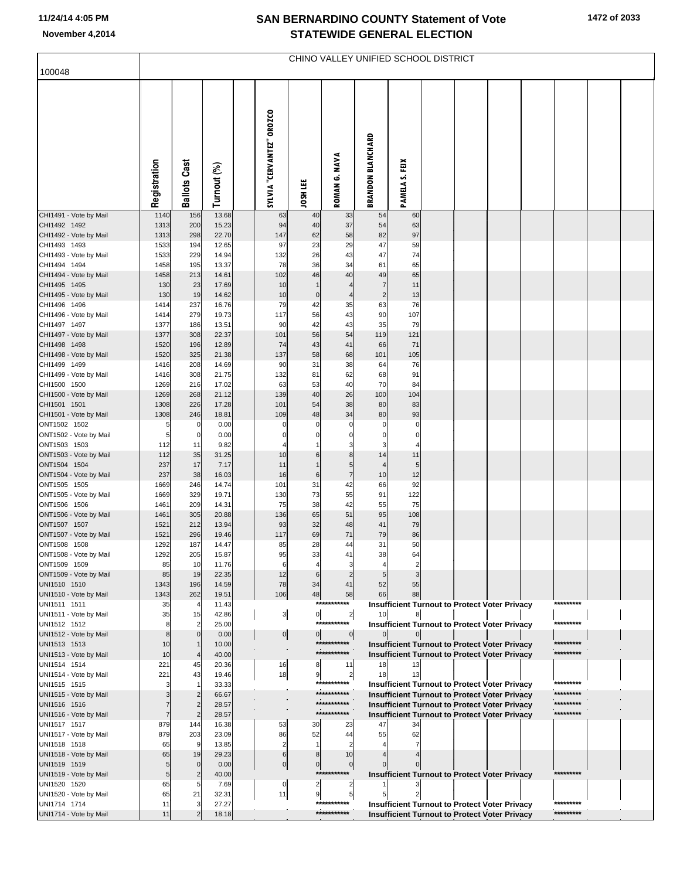### **SAN BERNARDINO COUNTY Statement of Vote November 4,2014 STATEWIDE GENERAL ELECTION**

| 100048                                 | CHINO VALLEY UNIFIED SCHOOL DISTRICT |                     |                |  |                           |                      |                               |                          |                                                            |  |  |  |  |                        |  |  |
|----------------------------------------|--------------------------------------|---------------------|----------------|--|---------------------------|----------------------|-------------------------------|--------------------------|------------------------------------------------------------|--|--|--|--|------------------------|--|--|
|                                        | Registration                         | <b>Ballots Cast</b> | Turnout (%)    |  | SYLVIA "CERVANTEZ" OROZCO | JOSH LEE             | ROMAN G. NAVA                 | <b>BRANDON BLANCHARD</b> | Ě<br>PAMELA S.                                             |  |  |  |  |                        |  |  |
| CHI1491 - Vote by Mail<br>CHI1492 1492 | 1140<br>1313                         | 156<br>200          | 13.68<br>15.23 |  | 63<br>94                  | 40<br>40             | 33<br>37                      | 54<br>54                 | 60<br>63                                                   |  |  |  |  |                        |  |  |
| CHI1492 - Vote by Mail                 | 1313                                 | 298                 | 22.70          |  | 147<br>97                 | 62                   | 58                            | 82<br>47                 | 97                                                         |  |  |  |  |                        |  |  |
| CHI1493 1493<br>CHI1493 - Vote by Mail | 1533<br>1533                         | 194<br>229          | 12.65<br>14.94 |  | 132                       | 23<br>26             | 29<br>43                      | 47                       | 59<br>74                                                   |  |  |  |  |                        |  |  |
| CHI1494 1494                           | 1458                                 | 195                 | 13.37          |  | 78                        | 36                   | 34                            | 61                       | 65                                                         |  |  |  |  |                        |  |  |
| CHI1494 - Vote by Mail                 | 1458                                 | 213                 | 14.61          |  | 102                       | 46<br>$\overline{1}$ | 40<br>$\overline{4}$          | 49<br>$\overline{7}$     | 65<br>11                                                   |  |  |  |  |                        |  |  |
| CHI1495 1495<br>CHI1495 - Vote by Mail | 130<br>130                           | 23<br>19            | 17.69<br>14.62 |  | 10<br>10                  | $\mathbf 0$          | $\overline{4}$                | $\overline{c}$           | 13                                                         |  |  |  |  |                        |  |  |
| CHI1496 1496                           | 1414                                 | 237                 | 16.76          |  | 79                        | 42                   | 35                            | 63                       | 76                                                         |  |  |  |  |                        |  |  |
| CHI1496 - Vote by Mail                 | 1414                                 | 279                 | 19.73          |  | 117                       | 56                   | 43                            | 90                       | 107                                                        |  |  |  |  |                        |  |  |
| CHI1497 1497<br>CHI1497 - Vote by Mail | 1377<br>1377                         | 186<br>308          | 13.51<br>22.37 |  | 90<br>101                 | 42<br>56             | 43<br>54                      | 35<br>119                | 79<br>121                                                  |  |  |  |  |                        |  |  |
| CHI1498 1498                           | 1520                                 | 196                 | 12.89          |  | 74                        | 43                   | 41                            | 66                       | 71                                                         |  |  |  |  |                        |  |  |
| CHI1498 - Vote by Mail                 | 1520                                 | 325                 | 21.38          |  | 137                       | 58                   | 68                            | 101                      | 105                                                        |  |  |  |  |                        |  |  |
| CHI1499 1499                           | 1416                                 | 208                 | 14.69          |  | 90                        | 31                   | 38                            | 64                       | 76                                                         |  |  |  |  |                        |  |  |
| CHI1499 - Vote by Mail<br>CHI1500 1500 | 1416<br>1269                         | 308<br>216          | 21.75<br>17.02 |  | 132<br>63                 | 81<br>53             | 62<br>40                      | 68<br>70                 | 91<br>84                                                   |  |  |  |  |                        |  |  |
| CHI1500 - Vote by Mail                 | 1269                                 | 268                 | 21.12          |  | 139                       | 40                   | 26                            | 100                      | 104                                                        |  |  |  |  |                        |  |  |
| CHI1501 1501                           | 1308                                 | 226                 | 17.28          |  | 101                       | 54                   | 38                            | 80                       | 83                                                         |  |  |  |  |                        |  |  |
| CHI1501 - Vote by Mail<br>ONT1502 1502 | 1308<br>5                            | 246<br>0            | 18.81<br>0.00  |  | 109<br>$\Omega$           | 48<br>$\Omega$       | 34<br>$\mathbf 0$             | 80<br>$\Omega$           | 93<br>C                                                    |  |  |  |  |                        |  |  |
| ONT1502 - Vote by Mail                 | 5                                    | 0                   | 0.00           |  | 0                         | 0                    | $\mathbf 0$                   | $\Omega$                 | $\mathbf 0$                                                |  |  |  |  |                        |  |  |
| ONT1503 1503                           | 112                                  | 11                  | 9.82           |  | $\overline{4}$            |                      | 3                             | 3                        | 4                                                          |  |  |  |  |                        |  |  |
| ONT1503 - Vote by Mail<br>ONT1504 1504 | 112<br>237                           | 35<br>17            | 31.25<br>7.17  |  | 10<br>11                  | 6<br>$\overline{1}$  | 8<br>5                        | 14<br>$\overline{4}$     | 11<br>5                                                    |  |  |  |  |                        |  |  |
| ONT1504 - Vote by Mail                 | 237                                  | 38                  | 16.03          |  | 16                        | 6                    | $\overline{7}$                | 10                       | 12                                                         |  |  |  |  |                        |  |  |
| ONT1505 1505                           | 1669                                 | 246                 | 14.74          |  | 101                       | 31                   | 42                            | 66                       | 92                                                         |  |  |  |  |                        |  |  |
| ONT1505 - Vote by Mail<br>ONT1506 1506 | 1669<br>1461                         | 329<br>209          | 19.71<br>14.31 |  | 130<br>75                 | 73<br>38             | 55<br>42                      | 91<br>55                 | 122<br>75                                                  |  |  |  |  |                        |  |  |
| ONT1506 - Vote by Mail                 | 1461                                 | 305                 | 20.88          |  | 136                       | 65                   | 51                            | 95                       | 108                                                        |  |  |  |  |                        |  |  |
| ONT1507 1507                           | 1521                                 | 212                 | 13.94          |  | 93                        | 32                   | 48                            | 41                       | 79                                                         |  |  |  |  |                        |  |  |
| ONT1507 - Vote by Mail                 | 1521<br>1292                         | 296<br>187          | 19.46<br>14.47 |  | 117<br>85                 | 69<br>28             | 71<br>44                      | 79<br>31                 | 86<br>50                                                   |  |  |  |  |                        |  |  |
| ONT1508 1508<br>ONT1508 - Vote by Mail | 1292                                 | 205                 | 15.87          |  | 95                        | 33                   |                               | 38                       | $\sim$                                                     |  |  |  |  |                        |  |  |
| ONT1509 1509                           | 85                                   | 10                  | 11.76          |  | 6                         | 4                    | з                             |                          |                                                            |  |  |  |  |                        |  |  |
| ONT1509 - Vote by Mail                 | 85                                   | 19                  | 22.35          |  | 12                        | 6                    |                               |                          |                                                            |  |  |  |  |                        |  |  |
| UNI1510 1510<br>UNI1510 - Vote by Mail | 1343<br>1343                         | 196<br>262          | 14.59<br>19.51 |  | 78<br>106                 | 34<br>48             | 41<br>58                      | 52<br>66                 | 55<br>88                                                   |  |  |  |  |                        |  |  |
| UNI1511 1511                           | 35                                   |                     | 11.43          |  |                           |                      | ***********                   |                          | <b>Insufficient Turnout to Protect Voter Privacy</b>       |  |  |  |  | *********              |  |  |
| UNI1511 - Vote by Mail                 | 35                                   | 15                  | 42.86          |  | $\frac{3}{2}$             | $\circ$              | $\overline{2}$<br>*********** | 10                       | 8                                                          |  |  |  |  | *********              |  |  |
| UNI1512 1512<br>UNI1512 - Vote by Mail | 8<br>8                               | $\Omega$            | 25.00<br>0.00  |  | $\overline{0}$            | $\overline{0}$       | $\circ$                       | $\mathbf{0}$             | <b>Insufficient Turnout to Protect Voter Privacy</b>       |  |  |  |  |                        |  |  |
| UNI1513 1513                           | 10                                   |                     | 10.00          |  |                           |                      | ***********                   |                          | <b>Insufficient Turnout to Protect Voter Privacy</b>       |  |  |  |  | *********              |  |  |
| UNI1513 - Vote by Mail                 | 10                                   |                     | 40.00          |  |                           |                      | ***********                   |                          | <b>Insufficient Turnout to Protect Voter Privacy</b>       |  |  |  |  | *********              |  |  |
| UNI1514 1514<br>UNI1514 - Vote by Mail | 221<br>221                           | 45<br>43            | 20.36<br>19.46 |  | 16<br>18                  | 8<br>9               | 11<br>$\overline{2}$          | 18<br>18                 | 13                                                         |  |  |  |  |                        |  |  |
| UNI1515 1515                           |                                      |                     | 33.33          |  |                           |                      | ***********                   |                          | <b>Insufficient Turnout to Protect Voter Privacy</b>       |  |  |  |  | *********              |  |  |
| UNI1515 - Vote by Mail                 |                                      |                     | 66.67          |  |                           |                      | ***********                   |                          | <b>Insufficient Turnout to Protect Voter Privacy</b>       |  |  |  |  | *********              |  |  |
| UNI1516 1516<br>UNI1516 - Vote by Mail |                                      |                     | 28.57<br>28.57 |  |                           |                      | ***********<br>***********    |                          | <b>Insufficient Turnout to Protect Voter Privacy</b>       |  |  |  |  | *********<br>********* |  |  |
| UNI1517 1517                           | 879                                  | 144                 | 16.38          |  | 53                        | 30                   | 23                            | 47                       | <b>Insufficient Turnout to Protect Voter Privacy</b><br>34 |  |  |  |  |                        |  |  |
| UNI1517 - Vote by Mail                 | 879                                  | 203                 | 23.09          |  | 86                        | 52                   | 44                            | 55                       | 62                                                         |  |  |  |  |                        |  |  |
| UNI1518 1518                           | 65                                   | 9                   | 13.85          |  |                           | $\mathbf{1}$         |                               |                          |                                                            |  |  |  |  |                        |  |  |
| UNI1518 - Vote by Mail<br>UNI1519 1519 | 65<br>5                              | 19                  | 29.23<br>0.00  |  | 6<br>$\overline{0}$       | 8<br>$\overline{0}$  | 10<br>$\overline{0}$          |                          |                                                            |  |  |  |  |                        |  |  |
| UNI1519 - Vote by Mail                 | 5                                    |                     | 40.00          |  |                           |                      | ***********                   |                          | <b>Insufficient Turnout to Protect Voter Privacy</b>       |  |  |  |  | *********              |  |  |
| UNI1520 1520                           | 65                                   |                     | 7.69           |  | 0                         | $\overline{2}$       | $\overline{\mathbf{c}}$       |                          |                                                            |  |  |  |  |                        |  |  |
| UNI1520 - Vote by Mail<br>UNI1714 1714 | 65<br>11                             | 21                  | 32.31<br>27.27 |  | 11                        | 9                    | 5 <sub>5</sub><br>*********** |                          | <b>Insufficient Turnout to Protect Voter Privacy</b>       |  |  |  |  | *********              |  |  |
| UNI1714 - Vote by Mail                 | 11                                   |                     | 18.18          |  |                           |                      | ***********                   |                          | <b>Insufficient Turnout to Protect Voter Privacy</b>       |  |  |  |  | *********              |  |  |
|                                        |                                      |                     |                |  |                           |                      |                               |                          |                                                            |  |  |  |  |                        |  |  |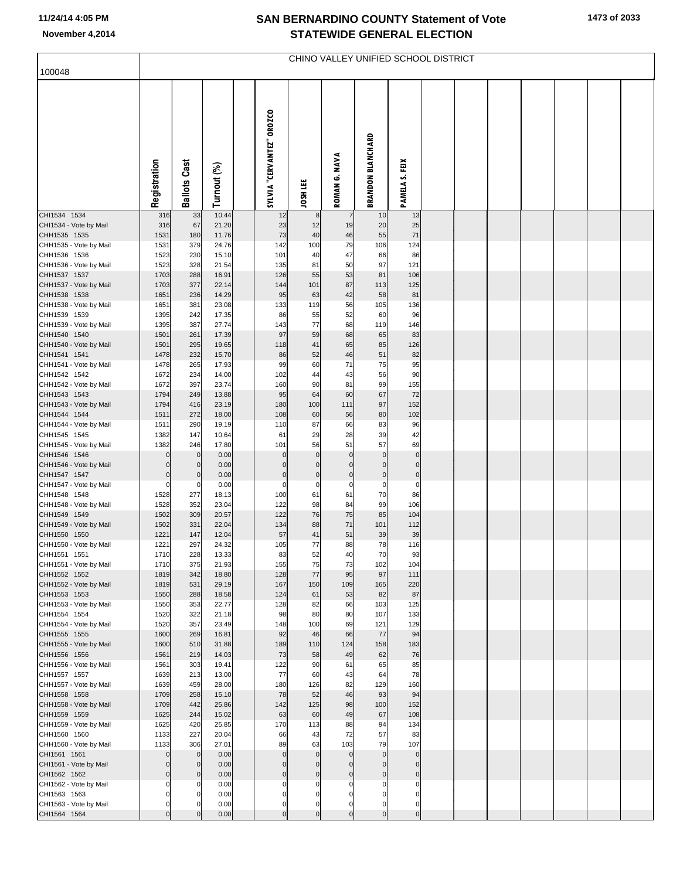# **SAN BERNARDINO COUNTY Statement of Vote November 4,2014 STATEWIDE GENERAL ELECTION**

**1473 of 2033**

|                                        | CHINO VALLEY UNIFIED SCHOOL DISTRICT<br>100048 |                                  |                |  |                             |                               |                                  |                             |                            |  |  |  |  |  |  |  |
|----------------------------------------|------------------------------------------------|----------------------------------|----------------|--|-----------------------------|-------------------------------|----------------------------------|-----------------------------|----------------------------|--|--|--|--|--|--|--|
|                                        |                                                |                                  |                |  |                             |                               |                                  |                             |                            |  |  |  |  |  |  |  |
|                                        | Registration                                   | <b>Ballots Cast</b>              | Turnout (%)    |  | SYLVIA "CERVANTEZ" OROZCO   | JOSH LEE                      | ROMAN G. NAVA                    | <b>BRANDON BLANCHARD</b>    | PAMELA S. FEIX             |  |  |  |  |  |  |  |
| CHI1534 1534                           | 316                                            | 33                               | 10.44          |  | 12                          | 8                             | $\overline{7}$                   | 10                          | 13                         |  |  |  |  |  |  |  |
| CHI1534 - Vote by Mail<br>CHH1535 1535 | 316<br>1531                                    | 67<br>180                        | 21.20<br>11.76 |  | 23<br>73                    | 12<br>40                      | 19<br>46                         | 20<br>55                    | 25<br>71                   |  |  |  |  |  |  |  |
| CHH1535 - Vote by Mail                 | 1531                                           | 379                              | 24.76          |  | 142                         | 100                           | 79                               | 106                         | 124                        |  |  |  |  |  |  |  |
| CHH1536 1536                           | 1523<br>1523                                   | 230<br>328                       | 15.10<br>21.54 |  | 101                         | 40                            | 47<br>50                         | 66<br>97                    | 86<br>121                  |  |  |  |  |  |  |  |
| CHH1536 - Vote by Mail<br>CHH1537 1537 | 1703                                           | 288                              | 16.91          |  | 135<br>126                  | 81<br>55                      | 53                               | 81                          | 106                        |  |  |  |  |  |  |  |
| CHH1537 - Vote by Mail                 | 1703                                           | 377                              | 22.14          |  | 144                         | 101                           | 87                               | 113                         | 125                        |  |  |  |  |  |  |  |
| CHH1538 1538                           | 1651                                           | 236                              | 14.29          |  | 95                          | 63                            | 42                               | 58                          | 81                         |  |  |  |  |  |  |  |
| CHH1538 - Vote by Mail<br>CHH1539 1539 | 1651<br>1395                                   | 381<br>242                       | 23.08<br>17.35 |  | 133<br>86                   | 119<br>55                     | 56<br>52                         | 105<br>60                   | 136<br>96                  |  |  |  |  |  |  |  |
| CHH1539 - Vote by Mail                 | 1395                                           | 387                              | 27.74          |  | 143                         | 77                            | 68                               | 119                         | 146                        |  |  |  |  |  |  |  |
| CHH1540 1540                           | 1501                                           | 261                              | 17.39          |  | 97                          | 59                            | 68                               | 65                          | 83                         |  |  |  |  |  |  |  |
| CHH1540 - Vote by Mail<br>CHH1541 1541 | 1501<br>1478                                   | 295<br>232                       | 19.65<br>15.70 |  | 118<br>86                   | 41<br>52                      | 65<br>46                         | 85<br>51                    | 126<br>82                  |  |  |  |  |  |  |  |
| CHH1541 - Vote by Mail                 | 1478                                           | 265                              | 17.93          |  | 99                          | 60                            | 71                               | 75                          | 95                         |  |  |  |  |  |  |  |
| CHH1542 1542                           | 1672                                           | 234                              | 14.00          |  | 102                         | 44                            | 43                               | 56                          | 90                         |  |  |  |  |  |  |  |
| CHH1542 - Vote by Mail<br>CHH1543 1543 | 1672<br>1794                                   | 397<br>249                       | 23.74<br>13.88 |  | 160<br>95                   | 90<br>64                      | 81<br>60                         | 99<br>67                    | 155<br>72                  |  |  |  |  |  |  |  |
| CHH1543 - Vote by Mail                 | 1794                                           | 416                              | 23.19          |  | 180                         | 100                           | 111                              | 97                          | 152                        |  |  |  |  |  |  |  |
| CHH1544 1544                           | 1511                                           | 272                              | 18.00          |  | 108                         | 60                            | 56                               | 80                          | 102                        |  |  |  |  |  |  |  |
| CHH1544 - Vote by Mail<br>CHH1545 1545 | 1511<br>1382                                   | 290<br>147                       | 19.19<br>10.64 |  | 110<br>61                   | 87<br>29                      | 66<br>28                         | 83<br>39                    | 96<br>42                   |  |  |  |  |  |  |  |
| CHH1545 - Vote by Mail                 | 1382                                           | 246                              | 17.80          |  | 101                         | 56                            | 51                               | 57                          | 69                         |  |  |  |  |  |  |  |
| CHH1546 1546                           | $\overline{0}$                                 | $\mathbf 0$                      | 0.00           |  | $\mathcal{C}$               | $\mathbf 0$                   | $\pmb{0}$                        | $\mathbf{0}$                | $\mathbf 0$                |  |  |  |  |  |  |  |
| CHH1546 - Vote by Mail<br>CHH1547 1547 | $\mathbf 0$<br>$\mathbf 0$                     | $\mathbf 0$<br>$\overline{0}$    | 0.00<br>0.00   |  | $\mathsf{C}$                | $\Omega$<br>$\mathbf 0$       | $\mathbf 0$<br>$\overline{0}$    | $\mathbf 0$<br>$\mathbf 0$  | $\mathbf 0$<br>$\pmb{0}$   |  |  |  |  |  |  |  |
| CHH1547 - Vote by Mail                 | $\overline{0}$                                 | $\overline{0}$                   | 0.00           |  | $\mathsf{C}$                | $\mathbf 0$                   | $\mathbf 0$                      | 0                           | $\Omega$                   |  |  |  |  |  |  |  |
| CHH1548 1548                           | 1528                                           | 277                              | 18.13          |  | 100                         | 61                            | 61                               | 70                          | 86                         |  |  |  |  |  |  |  |
| CHH1548 - Vote by Mail                 | 1528                                           | 352                              | 23.04          |  | 122                         | 98                            | 84                               | 99                          | 106                        |  |  |  |  |  |  |  |
| CHH1549 1549<br>CHH1549 - Vote by Mail | 1502<br>1502                                   | 309<br>331                       | 20.57<br>22.04 |  | 122<br>134                  | 76<br>88                      | 75<br>71                         | 85<br>101                   | 104<br>112                 |  |  |  |  |  |  |  |
| CHH1550 1550                           | 1221                                           | 147                              | 12.04          |  | 57                          | 41                            | 51                               | 39                          | 39                         |  |  |  |  |  |  |  |
| CHH1550 - Vote by Mail                 | 1221                                           | 297                              | 24.32          |  | 105                         | 77                            | 88                               | 78                          | 116                        |  |  |  |  |  |  |  |
| CHH1551 1551<br>CHH1551 - Vote by Mail | 1710<br>1710                                   | 228<br>375                       | 13.33<br>21.93 |  | 83<br>155                   | 52<br>75                      | 40<br>73                         | 70<br>102                   | 93<br>104                  |  |  |  |  |  |  |  |
| CHH1552 1552                           | 1819                                           | 342                              | 18.80          |  | 128                         | 77                            | 95                               | 97                          | 111                        |  |  |  |  |  |  |  |
| CHH1552 - Vote by Mail                 | 1819                                           | 531                              | 29.19          |  | 167                         | 150                           | 109                              | 165                         | 220                        |  |  |  |  |  |  |  |
| CHH1553 1553<br>CHH1553 - Vote by Mail | 1550<br>1550                                   | 288<br>353                       | 18.58<br>22.77 |  | 124<br>128                  | 61<br>82                      | 53<br>66                         | 82<br>103                   | 87<br>125                  |  |  |  |  |  |  |  |
| CHH1554 1554                           | 1520                                           | 322                              | 21.18          |  | 98                          | 80                            | 80                               | 107                         | 133                        |  |  |  |  |  |  |  |
| CHH1554 - Vote by Mail                 | 1520                                           | 357                              | 23.49          |  | 148                         | 100                           | 69                               | 121                         | 129                        |  |  |  |  |  |  |  |
| CHH1555 1555<br>CHH1555 - Vote by Mail | 1600<br>1600                                   | 269<br>510                       | 16.81<br>31.88 |  | 92<br>189                   | 46<br>110                     | 66<br>124                        | 77<br>158                   | 94<br>183                  |  |  |  |  |  |  |  |
| CHH1556 1556                           | 1561                                           | 219                              | 14.03          |  | 73                          | 58                            | 49                               | 62                          | 76                         |  |  |  |  |  |  |  |
| CHH1556 - Vote by Mail                 | 1561                                           | 303                              | 19.41          |  | 122                         | 90                            | 61                               | 65                          | 85                         |  |  |  |  |  |  |  |
| CHH1557 1557<br>CHH1557 - Vote by Mail | 1639<br>1639                                   | 213<br>459                       | 13.00<br>28.00 |  | 77<br>180                   | 60<br>126                     | 43<br>82                         | 64<br>129                   | 78<br>160                  |  |  |  |  |  |  |  |
| CHH1558 1558                           | 1709                                           | 258                              | 15.10          |  | 78                          | 52                            | 46                               | 93                          | 94                         |  |  |  |  |  |  |  |
| CHH1558 - Vote by Mail                 | 1709                                           | 442                              | 25.86          |  | 142                         | 125                           | 98                               | 100                         | 152                        |  |  |  |  |  |  |  |
| CHH1559 1559                           | 1625                                           | 244                              | 15.02          |  | 63                          | 60                            | 49                               | 67                          | 108                        |  |  |  |  |  |  |  |
| CHH1559 - Vote by Mail<br>CHH1560 1560 | 1625<br>1133                                   | 420<br>227                       | 25.85<br>20.04 |  | 170<br>66                   | 113<br>43                     | 88<br>72                         | 94<br>57                    | 134<br>83                  |  |  |  |  |  |  |  |
| CHH1560 - Vote by Mail                 | 1133                                           | 306                              | 27.01          |  | 89                          | 63                            | 103                              | 79                          | 107                        |  |  |  |  |  |  |  |
| CHI1561 1561                           | $\mathbf 0$                                    | $\mathbf 0$                      | 0.00           |  | $\Omega$                    | $\mathbf 0$                   | $\overline{0}$                   | $\mathbf{0}$                | $\mathbf 0$                |  |  |  |  |  |  |  |
| CHI1561 - Vote by Mail<br>CHI1562 1562 | $\mathbf 0$<br>$\mathbf 0$                     | $\overline{0}$<br>$\overline{0}$ | 0.00<br>0.00   |  | $\sqrt{ }$<br>$\mathcal{C}$ | $\Omega$<br>$\mathbf 0$       | $\overline{0}$<br>$\overline{0}$ | $\mathbf 0$<br>$\mathbf 0$  | $\mathbf 0$<br>$\pmb{0}$   |  |  |  |  |  |  |  |
| CHI1562 - Vote by Mail                 | $\mathbf 0$                                    | $\mathbf 0$                      | 0.00           |  |                             | $\Omega$                      | $\mathbf 0$                      |                             | $\Omega$                   |  |  |  |  |  |  |  |
| CHI1563 1563                           | $\mathbf 0$                                    | $\mathbf 0$                      | 0.00           |  |                             | 0                             | 0                                |                             | O                          |  |  |  |  |  |  |  |
| CHI1563 - Vote by Mail<br>CHI1564 1564 | $\mathbf 0$<br>$\mathbf 0$                     | $\Omega$<br>$\overline{0}$       | 0.00<br>0.00   |  | 0<br>$\Omega$               | $\mathbf 0$<br>$\overline{0}$ | $\overline{0}$<br>$\overline{0}$ | $\mathbf 0$<br>$\mathbf{0}$ | $\mathbf 0$<br>$\mathbf 0$ |  |  |  |  |  |  |  |
|                                        |                                                |                                  |                |  |                             |                               |                                  |                             |                            |  |  |  |  |  |  |  |